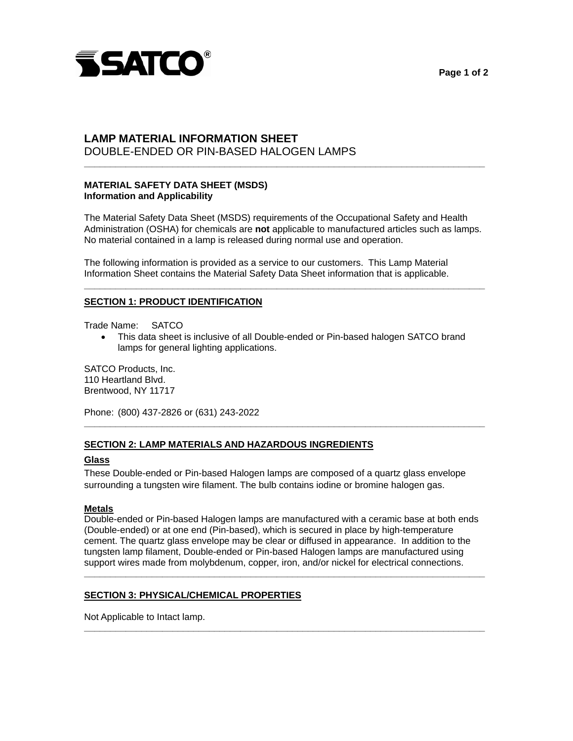

# DOUBLE-ENDED OR PIN-BASED HALOGEN LAMPS **LAMP MATERIAL INFORMATION SHEET**

## **MATERIAL SAFETY DATA SHEET (MSDS) Information and Applicability**

The Material Safety Data Sheet (MSDS) requirements of the Occupational Safety and Health Administration (OSHA) for chemicals are **not** applicable to manufactured articles such as lamps. No material contained in a lamp is released during normal use and operation.

**\_\_\_\_\_\_\_\_\_\_\_\_\_\_\_\_\_\_\_\_\_\_\_\_\_\_\_\_\_\_\_\_\_\_\_\_\_\_\_\_\_\_\_\_\_\_\_\_\_\_\_\_\_\_\_\_\_\_\_\_\_\_\_\_\_\_\_\_\_\_\_\_\_\_\_\_\_** 

**\_\_\_\_\_\_\_\_\_\_\_\_\_\_\_\_\_\_\_\_\_\_\_\_\_\_\_\_\_\_\_\_\_\_\_\_\_\_\_\_\_\_\_\_\_\_\_\_\_\_\_\_\_\_\_\_\_\_\_\_\_\_\_\_\_\_\_\_\_\_\_\_\_\_\_\_\_** 

The following information is provided as a service to our customers. This Lamp Material Information Sheet contains the Material Safety Data Sheet information that is applicable.

#### **SECTION 1: PRODUCT IDENTIFICATION**

Trade Name: SATCO

 This data sheet is inclusive of all Double-ended or Pin-based halogen SATCO brand lamps for general lighting applications.

**\_\_\_\_\_\_\_\_\_\_\_\_\_\_\_\_\_\_\_\_\_\_\_\_\_\_\_\_\_\_\_\_\_\_\_\_\_\_\_\_\_\_\_\_\_\_\_\_\_\_\_\_\_\_\_\_\_\_\_\_\_\_\_\_\_\_\_\_\_\_\_\_\_\_\_\_\_** 

SATCO Products, Inc. 110 Heartland Blvd. Brentwood, NY 11717

Phone: (800) 437-2826 or (631) 243-2022

### **SECTION 2: LAMP MATERIALS AND HAZARDOUS INGREDIENTS**

# **Glass**

These Double-ended or Pin-based Halogen lamps are composed of a quartz glass envelope surrounding a tungsten wire filament. The bulb contains iodine or bromine halogen gas.

# **Metals**

Double-ended or Pin-based Halogen lamps are manufactured with a ceramic base at both ends (Double-ended) or at one end (Pin-based), which is secured in place by high-temperature cement. The quartz glass envelope may be clear or diffused in appearance. In addition to the tungsten lamp filament, Double-ended or Pin-based Halogen lamps are manufactured using support wires made from molybdenum, copper, iron, and/or nickel for electrical connections.

**\_\_\_\_\_\_\_\_\_\_\_\_\_\_\_\_\_\_\_\_\_\_\_\_\_\_\_\_\_\_\_\_\_\_\_\_\_\_\_\_\_\_\_\_\_\_\_\_\_\_\_\_\_\_\_\_\_\_\_\_\_\_\_\_\_\_\_\_\_\_\_\_\_\_\_\_\_** 

**\_\_\_\_\_\_\_\_\_\_\_\_\_\_\_\_\_\_\_\_\_\_\_\_\_\_\_\_\_\_\_\_\_\_\_\_\_\_\_\_\_\_\_\_\_\_\_\_\_\_\_\_\_\_\_\_\_\_\_\_\_\_\_\_\_\_\_\_\_\_\_\_\_\_\_\_\_** 

### **SECTION 3: PHYSICAL/CHEMICAL PROPERTIES**

Not Applicable to Intact lamp.